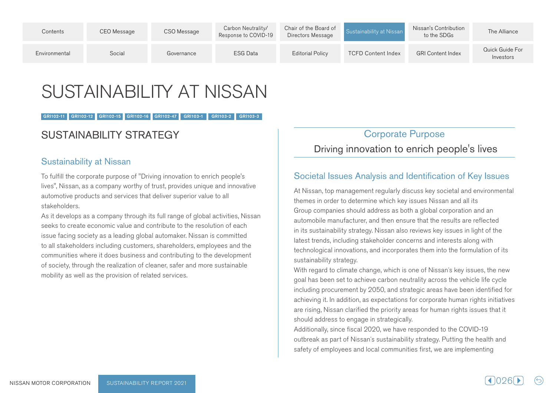| Contents      | CEO Message | CSO Message | Carbon Neutrality/<br>Response to COVID-19 | Chair of the Board of<br>Directors Message | Sustainability at Nissan  | Nissan's Contribution<br>to the SDGs | The Alliance                 |
|---------------|-------------|-------------|--------------------------------------------|--------------------------------------------|---------------------------|--------------------------------------|------------------------------|
| Environmental | Social      | Governance  | <b>ESG Data</b>                            | <b>Editorial Policy</b>                    | <b>TCFD Content Index</b> | <b>GRI Content Index</b>             | Quick Guide For<br>Investors |

# SUSTAINABILITY AT NISSAN

#### GRI102-11 GRI102-12 GRI102-15 GRI102-16 GRI102-47 GRI103-1 GRI103-2 GRI103-3

# SUSTAINABILITY STRATEGY

### **Sustainability at Nissan**

To fulfill the corporate purpose of "Driving innovation to enrich people's lives", Nissan, as a company worthy of trust, provides unique and innovative automotive products and services that deliver superior value to all .stakeholders

As it develops as a company through its full range of global activities, Nissan seeks to create economic value and contribute to the resolution of each issue facing society as a leading global automaker. Nissan is committed to all stakeholders including customers, shareholders, employees and the communities where it does business and contributing to the development of society, through the realization of cleaner, safer and more sustainable mobility as well as the provision of related services.

# **Corporate Purpose** Driving innovation to enrich people's lives

# Societal Issues Analysis and Identification of Key Issues

At Nissan, top management regularly discuss key societal and environmental themes in order to determine which key issues Nissan and all its Group companies should address as both a global corporation and an automobile manufacturer, and then ensure that the results are reflected in its sustainability strategy. Nissan also reviews key issues in light of the latest trends, including stakeholder concerns and interests along with technological innovations, and incorporates them into the formulation of its sustainability strategy.

With regard to climate change, which is one of Nissan's key issues, the new coal has been set to achieve carbon neutrality across the vehicle life cycle including procurement by 2050, and strategic areas have been identified for achieving it. In addition, as expectations for corporate human rights initiatives are rising. Nissan clarified the priority areas for human rights issues that it should address to engage in strategically.

Additionally, since fiscal 2020, we have responded to the COVID-19 outbreak as part of Nissan's sustainability strategy. Putting the health and safety of employees and local communities first, we are implementing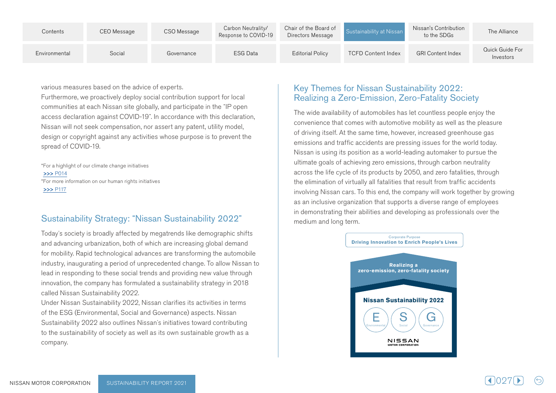| Contents      | CEO Message | CSO Message | Carbon Neutrality/<br>Response to COVID-19 | Chair of the Board of<br>Directors Message | Sustainability at Nissan  | Nissan's Contribution<br>to the SDGs | The Alliance                 |
|---------------|-------------|-------------|--------------------------------------------|--------------------------------------------|---------------------------|--------------------------------------|------------------------------|
| Environmental | Social      | Governance  | <b>ESG Data</b>                            | <b>Editorial Policy</b>                    | <b>TCFD Content Index</b> | <b>GRI Content Index</b>             | Quick Guide For<br>Investors |

various measures based on the advice of experts.

Furthermore, we proactively deploy social contribution support for local communities at each Nissan site globally, and participate in the "IP open access declaration against COVID-19". In accordance with this declaration, Nissan will not seek compensation, nor assert any patent, utility model, design or copyright against any activities whose purpose is to prevent the spread of COVID-19.

\*For a highlight of our climate change initiatives >>>P014 \*For more information on our human rights initiatives  $>>$  P117

### Sustainability Strategy: "Nissan Sustainability 2022"

Today's society is broadly affected by megatrends like demographic shifts and advancing urbanization, both of which are increasing global demand for mobility. Rapid technological advances are transforming the automobile industry, inaugurating a period of unprecedented change. To allow Nissan to lead in responding to these social trends and providing new value through innovation, the company has formulated a sustainability strategy in 2018 called Nissan Sustainability 2022.

Under Nissan Sustainability 2022, Nissan clarifies its activities in terms of the ESG (Environmental, Social and Governance) aspects. Nissan Sustainability 2022 also outlines Nissan's initiatives toward contributing to the sustainability of society as well as its own sustainable growth as a .company

# Key Themes for Nissan Sustainability 2022: Realizing a Zero-Emission, Zero-Fatality Society

The wide availability of automobiles has let countless people enjoy the convenience that comes with automotive mobility as well as the pleasure of driving itself. At the same time, however, increased greenhouse gas. emissions and traffic accidents are pressing issues for the world today. Nissan is using its position as a world-leading automaker to pursue the ultimate goals of achieving zero emissions, through carbon neutrality across the life cycle of its products by 2050, and zero fatalities, through the elimination of virtually all fatalities that result from traffic accidents involving Nissan cars. To this end, the company will work together by growing as an inclusive organization that supports a diverse range of employees in demonstrating their abilities and developing as professionals over the medium and long term.

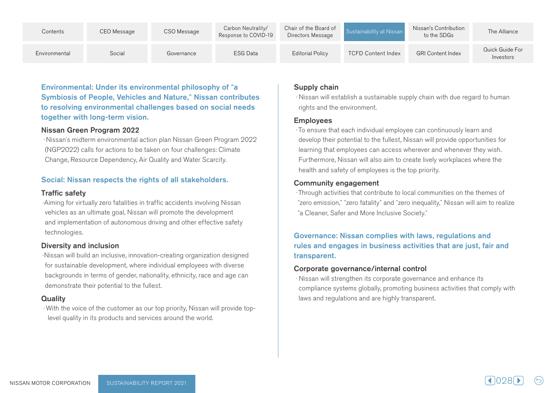| Contents      | CEO Message | CSO Message | Carbon Neutrality/<br>Response to COVID-19 | Chair of the Board of<br>Directors Message | Sustainability at Nissan  | Nissan's Contribution<br>to the SDGs | The Alliance                 |
|---------------|-------------|-------------|--------------------------------------------|--------------------------------------------|---------------------------|--------------------------------------|------------------------------|
| Environmental | Social      | Governance  | ESG Data                                   | <b>Editorial Policy</b>                    | <b>TCFD Content Index</b> | <b>GRI Content Index</b>             | Quick Guide For<br>Investors |

Environmental: Under its environmental philosophy of "a Symbiosis of People, Vehicles and Nature," Nissan contributes to resolving environmental challenges based on social needs together with long-term vision.

#### Nissan Green Program 2022

· Nissan's midterm environmental action plan Nissan Green Program 2022 (NGP2022) calls for actions to be taken on four challenges: Climate Change, Resource Dependency, Air Quality and Water Scarcity.

### Social: Nissan respects the rights of all stakeholders.

#### **Traffic safety**

·Aiming for virtually zero fatalities in traffic accidents involving Nissan vehicles as an ultimate goal, Nissan will promote the development and implementation of autonomous driving and other effective safety technologies.

### Diversity and inclusion

·Nissan will build an inclusive, innovation-creating organization designed for sustainable development, where individual employees with diverse backgrounds in terms of gender, nationality, ethnicity, race and age can demonstrate their potential to the fullest.

### **Quality**

. With the voice of the customer as our top priority, Nissan will provide top-<br>level quality in its products and services around the world.

#### Supply chain

 $\cdot$  Nissan will establish a sustainable supply chain with due regard to human rights and the environment.

#### Employees

To ensure that each individual employee can continuously learn and develop their potential to the fullest, Nissan will provide opportunities for learning that employees can access wherever and whenever they wish. Furthermore, Nissan will also aim to create lively workplaces where the health and safety of employees is the top priority.

### Community engagement

· Through activities that contribute to local communities on the themes of "zero emission," "zero fatality" and "zero inequality," Nissan will aim to realize "a Cleaner, Safer and More Inclusive Society,"

### Governance: Nissan complies with laws, regulations and rules and engages in business activities that are just, fair and transparent.

### Corporate governance/internal control

· Nissan will strengthen its corporate governance and enhance its compliance systems globally, promoting business activities that comply with laws and regulations and are highly transparent.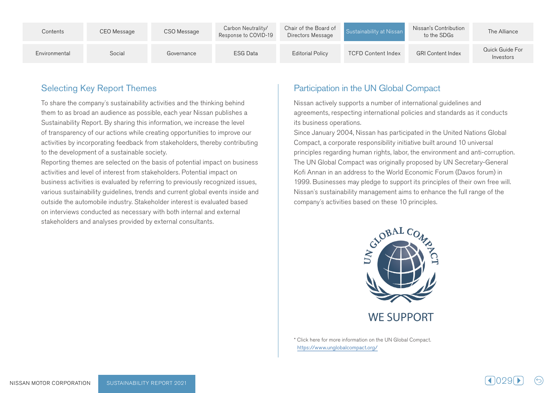| Contents      | CEO Message | CSO Message | Carbon Neutrality/<br>Response to COVID-19 | Chair of the Board of<br>Directors Message | Sustainability at Nissan  | Nissan's Contribution<br>to the SDGs | The Alliance                 |
|---------------|-------------|-------------|--------------------------------------------|--------------------------------------------|---------------------------|--------------------------------------|------------------------------|
| Environmental | Social      | Governance  | <b>ESG Data</b>                            | <b>Editorial Policy</b>                    | <b>TCFD Content Index</b> | <b>GRI Content Index</b>             | Quick Guide For<br>Investors |

# **Selecting Key Report Themes**

To share the company's sustainability activities and the thinking behind them to as broad an audience as possible, each year Nissan publishes a Sustainability Report. By sharing this information, we increase the level of transparency of our actions while creating opportunities to improve our activities by incorporating feedback from stakeholders, thereby contributing to the development of a sustainable society.

Reporting themes are selected on the basis of potential impact on business activities and level of interest from stakeholders. Potential impact on business activities is evaluated by referring to previously recognized issues, various sustainability guidelines, trends and current global events inside and outside the automobile industry. Stakeholder interest is evaluated based on interviews conducted as necessary with both internal and external stakeholders and analyses provided by external consultants.

# Participation in the UN Global Compact

Nissan actively supports a number of international guidelines and agreements, respecting international policies and standards as it conducts its business operations.

Since January 2004, Nissan has participated in the United Nations Global Compact, a corporate responsibility initiative built around 10 universal principles regarding human rights, labor, the environment and anti-corruption. The UN Global Compact was originally proposed by UN Secretary-General Kofi Annan in an address to the World Economic Forum (Davos forum) in 1999. Businesses may pledge to support its principles of their own free will. Nissan's sustainability management aims to enhance the full range of the company's activities based on these 10 principles.



\* Click here for more information on the UN Global Compact. https://www.unglobalcompact.org/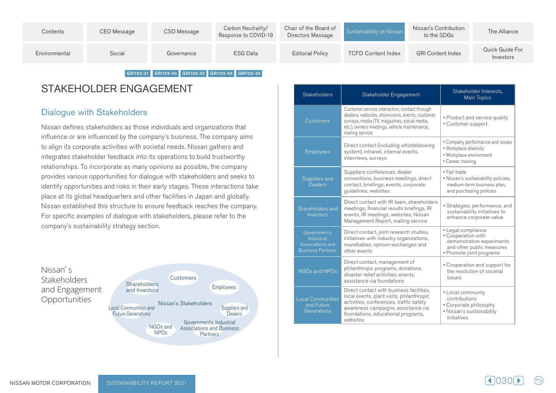| Social<br><b>ESG Data</b><br><b>GRI Content Index</b><br><b>Editorial Policy</b><br><b>TCFD Content Index</b><br>Environmental<br>Governance<br>Investors | Contents | CEO Message | CSO Message | Carbon Neutrality/<br>Response to COVID-19 | Chair of the Board of<br>Directors Message | Sustainability at Nissan | Nissan's Contribution<br>to the SDGs | The Alliance    |
|-----------------------------------------------------------------------------------------------------------------------------------------------------------|----------|-------------|-------------|--------------------------------------------|--------------------------------------------|--------------------------|--------------------------------------|-----------------|
|                                                                                                                                                           |          |             |             |                                            |                                            |                          |                                      | Quick Guide For |

GRI102-21 GRI102-40 GRI102-42 GRI102-43 GRI102-44

# STAKEHOLDER ENGAGEMENT

# Dialogue with Stakeholders

Nissan defines stakeholders as those individuals and organizations that influence or are influenced by the company's business. The company aims to align its corporate activities with societal needs. Nissan gathers and integrates stakeholder feedback into its operations to build trustworthy relationships. To incorporate as many opinions as possible, the company provides various opportunities for dialogue with stakeholders and seeks to identify opportunities and risks in their early stages. These interactions take place at its global headquarters and other facilities in Japan and globally. Nissan established this structure to ensure feedback reaches the company. For specific examples of dialogue with stakeholders, please refer to the company's sustainability strategy section.



| <b>Stakeholders</b>                                                        | Stakeholder Engagement                                                                                                                                                                                                    | Stakeholder Interests,<br><b>Main Topics</b>                                                                                   |
|----------------------------------------------------------------------------|---------------------------------------------------------------------------------------------------------------------------------------------------------------------------------------------------------------------------|--------------------------------------------------------------------------------------------------------------------------------|
| <b>Customers</b>                                                           | Customer service interaction, contact through<br>dealers, websites, showrooms, events, customer<br>surveys, media (TV, magazines, social media,<br>etc.), owners meetings, vehicle maintenance,<br>mailing service        | • Product and service quality<br>• Customer support                                                                            |
| <b>Employees</b>                                                           | Direct contact (including whistleblowing<br>system), intranet, internal events,<br>interviews, surveys                                                                                                                    | • Company performance and issues<br>. Workplace diversity<br>· Workplace environment<br>• Career, training                     |
| Suppliers and<br><b>Dealers</b>                                            | Suppliers conferences, dealer<br>conventions, business meetings, direct<br>contact, briefings, events, corporate<br>guidelines, websites                                                                                  | · Fair trade<br>. Nissan's sustainability policies,<br>medium-term business plan,<br>and purchasing policies                   |
| Shareholders and<br>Investors                                              | Direct contact with IR team, shareholders<br>meetings, financial results briefings, IR<br>events, IR meetings, websites, Nissan<br>Management Report, mailing service                                                     | · Strategies, performance, and<br>sustainability initiatives to<br>enhance corporate value                                     |
| Governments,<br>Industrial<br>Associations and<br><b>Business Partners</b> | Direct contact, joint research studies,<br>initiatives with industry organizations,<br>roundtables, opinion-exchanges and<br>other events                                                                                 | • Legal compliance<br>• Cooperation with<br>demonstration experiments<br>and other public measures<br>· Promote joint programs |
| NGOs and NPOs                                                              | Direct contact, management of<br>philanthropic programs, donations,<br>disaster relief activities, events,<br>assistance via foundations                                                                                  | • Cooperation and support for<br>the resolution of societal<br>issues                                                          |
| <b>Local Communities</b><br>and Future<br>Generations                      | Direct contact with business facilities,<br>local events, plant visits, philanthropic<br>activities, conferences, traffic safety<br>awareness campaigns, assistance via<br>foundations, educational programs,<br>websites | • Local community<br>contributions<br>• Corporate philosophy<br>· Nissan's sustainability<br>initiatives                       |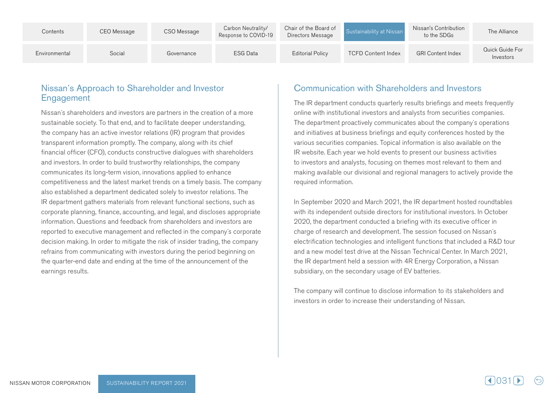| Contents      | CEO Message | CSO Message | Carbon Neutrality/<br>Response to COVID-19 | Chair of the Board of<br>Directors Message | Sustainability at Nissan  | Nissan's Contribution<br>to the SDGs | The Alliance                 |
|---------------|-------------|-------------|--------------------------------------------|--------------------------------------------|---------------------------|--------------------------------------|------------------------------|
| Environmental | Social      | Governance  | <b>ESG Data</b>                            | <b>Editorial Policy</b>                    | <b>TCFD Content Index</b> | <b>GRI Content Index</b>             | Quick Guide For<br>Investors |

### Nissan's Approach to Shareholder and Investor **Engagement**

Nissan's shareholders and investors are partners in the creation of a more sustainable society. To that end, and to facilitate deeper understanding, the company has an active investor relations (IR) program that provides transparent information promptly. The company, along with its chief financial officer (CFO), conducts constructive dialogues with shareholders and investors. In order to build trustworthy relationships, the company communicates its long-term vision, innovations applied to enhance competitiveness and the latest market trends on a timely basis. The company also established a department dedicated solely to investor relations. The IR department gathers materials from relevant functional sections, such as corporate planning, finance, accounting, and legal, and discloses appropriate information. Questions and feedback from shareholders and investors are reported to executive management and reflected in the company's corporate decision making. In order to mitigate the risk of insider trading, the company refrains from communicating with investors during the period beginning on the quarter-end date and ending at the time of the announcement of the earnings results.

# Communication with Shareholders and Investors

The IR department conducts quarterly results briefings and meets frequently online with institutional investors and analysts from securities companies. The department proactively communicates about the company's operations and initiatives at business briefings and equity conferences hosted by the various securities companies. Topical information is also available on the IR website. Each year we hold events to present our business activities to investors and analysts, focusing on themes most relevant to them and making available our divisional and regional managers to actively provide the required information.

In September 2020 and March 2021, the IR department hosted roundtables with its independent outside directors for institutional investors. In October 2020, the department conducted a briefing with its executive officer in charge of research and development. The session focused on Nissan's electrification technologies and intelligent functions that included a R&D tour and a new model test drive at the Nissan Technical Center. In March 2021, the IR department held a session with 4R Energy Corporation, a Nissan subsidiary, on the secondary usage of EV batteries.

The company will continue to disclose information to its stakeholders and investors in order to increase their understanding of Nissan.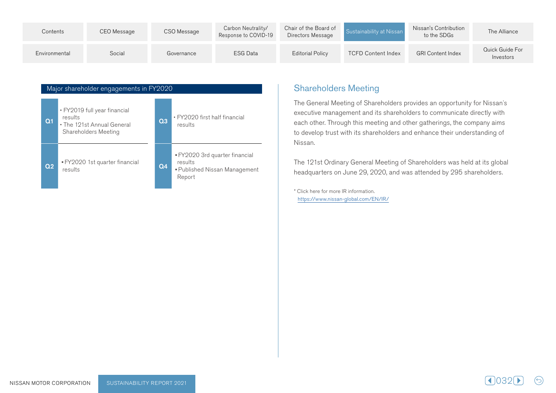| Contents      | CEO Message | CSO Message | Carbon Neutrality/<br>Response to COVID-19 | Chair of the Board of<br>Directors Message | Sustainability at Nissan  | Nissan's Contribution<br>to the SDGs | The Alliance                 |
|---------------|-------------|-------------|--------------------------------------------|--------------------------------------------|---------------------------|--------------------------------------|------------------------------|
| Environmental | Social      | Governance  | <b>ESG Data</b>                            | <b>Editorial Policy</b>                    | <b>TCFD Content Index</b> | <b>GRI Content Index</b>             | Quick Guide For<br>Investors |



# **Shareholders Meeting**

The General Meeting of Shareholders provides an opportunity for Nissan's executive management and its shareholders to communicate directly with each other. Through this meeting and other gatherings, the company aims to develop trust with its shareholders and enhance their understanding of Nissan.

The 121st Ordinary General Meeting of Shareholders was held at its global headquarters on June 29, 2020, and was attended by 295 shareholders.

\* Click here for more IR information. https://www.nissan-global.com/EN/IR/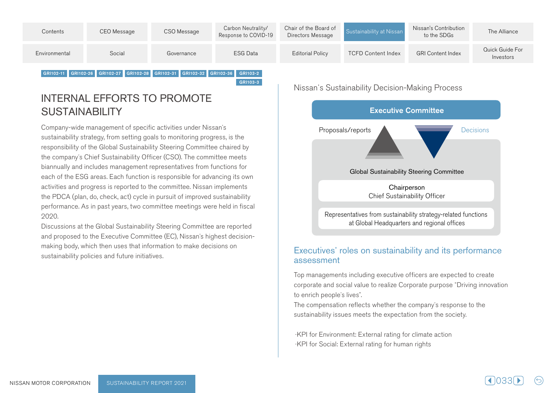| Contents      | CEO Message | CSO Message | Carbon Neutrality/<br>Response to COVID-19 | Chair of the Board of<br>Directors Message | Sustainability at Nissan  | Nissan's Contribution<br>to the SDGs | The Alliance                 |
|---------------|-------------|-------------|--------------------------------------------|--------------------------------------------|---------------------------|--------------------------------------|------------------------------|
| Environmental | Social      | Governance  | ESG Data                                   | <b>Editorial Policy</b>                    | <b>TCFD Content Index</b> | <b>GRI Content Index</b>             | Quick Guide For<br>Investors |

GRI103-3

INTERNAL EFFORTS TO PROMOTE

SUSTAINABILITY

Company-wide management of specific activities under Nissan's sustainability strategy, from setting goals to monitoring progress, is the responsibility of the Global Sustainability Steering Committee chaired by the company's Chief Sustainability Officer (CSO). The committee meets biannually and includes management representatives from functions for each of the ESG areas. Each function is responsible for advancing its own activities and progress is reported to the committee. Nissan implements the PDCA (plan, do, check, act) cycle in pursuit of improved sustainability performance. As in past years, two committee meetings were held in fiscal 2020.

GRI102-11 GRI102-26 GRI102-27 GRI102-28 GRI102-31 GRI102-32 GRI102-36 GRI103-2

Discussions at the Global Sustainability Steering Committee are reported making body, which then uses that information to make decisions on and proposed to the Executive Committee (EC), Nissan's highest decisionsustainability policies and future initiatives.

Nissan's Sustainability Decision-Making Process



### Executives' roles on sustainability and its performance assessment

Top managements including executive officers are expected to create corporate and social value to realize Corporate purpose "Driving innovation" to enrich people's lives".

The compensation reflects whether the company's response to the sustainability issues meets the expectation from the society.

·KPI for Environment: External rating for climate action ·KPI for Social: External rating for human rights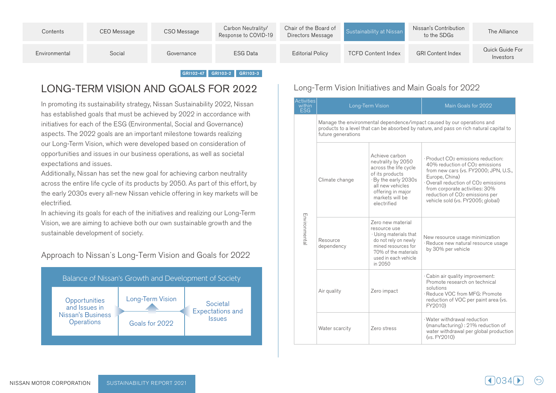| Contents      | CEO Message | CSO Message | Carbon Neutrality/<br>Response to COVID-19 | Chair of the Board of<br>Directors Message | Sustainability at Nissan  | Nissan's Contribution<br>to the SDGs | The Alliance                 |
|---------------|-------------|-------------|--------------------------------------------|--------------------------------------------|---------------------------|--------------------------------------|------------------------------|
| Environmental | Social      | Governance  | <b>ESG Data</b>                            | <b>Editorial Policy</b>                    | <b>TCFD Content Index</b> | <b>GRI Content Index</b>             | Quick Guide For<br>Investors |

#### GRI102-47 GRI103-2 GRI103-3

# LONG-TERM VISION AND GOALS FOR 2022

In promoting its sustainability strategy, Nissan Sustainability 2022, Nissan has established goals that must be achieved by 2022 in accordance with initiatives for each of the ESG (Environmental, Social and Governance) aspects. The 2022 goals are an important milestone towards realizing our Long-Term Vision, which were developed based on consideration of opportunities and issues in our business operations, as well as societal expectations and issues.

Additionally, Nissan has set the new goal for achieving carbon neutrality across the entire life cycle of its products by 2050. As part of this effort, by the early 2030s every all-new Nissan vehicle offering in key markets will be .electrified

In achieving its goals for each of the initiatives and realizing our Long-Term Vision, we are aiming to achieve both our own sustainable growth and the sustainable development of society.

Approach to Nissan's Long-Term Vision and Goals for 2022



### Long-Term Vision Initiatives and Main Goals for 2022

| <b>Activities</b><br>within<br>ESG |                        | Long-Term Vision                                                                                                                                                                    | Main Goals for 2022                                                                                                                                                                                                                                                                                                            |
|------------------------------------|------------------------|-------------------------------------------------------------------------------------------------------------------------------------------------------------------------------------|--------------------------------------------------------------------------------------------------------------------------------------------------------------------------------------------------------------------------------------------------------------------------------------------------------------------------------|
|                                    | future generations     |                                                                                                                                                                                     | Manage the environmental dependence/impact caused by our operations and<br>products to a level that can be absorbed by nature, and pass on rich natural capital to                                                                                                                                                             |
|                                    | Climate change         | Achieve carbon<br>neutrality by 2050<br>across the life cycle<br>of its products<br>· By the early 2030s<br>all new vehicles<br>offering in major<br>markets will be<br>electrified | · Product CO <sub>2</sub> emissions reduction:<br>40% reduction of CO <sub>2</sub> emissions<br>from new cars (vs. FY2000; JPN, U.S.,<br>Europe, China)<br>Overall reduction of CO <sub>2</sub> emissions<br>from corporate activities: 30%<br>reduction of CO <sub>2</sub> emissions per<br>vehicle sold (vs. FY2005; global) |
| Environmental                      | Resource<br>dependency | Zero new material<br>resource use<br>· Using materials that<br>do not rely on newly<br>mined resources for<br>70% of the materials<br>used in each vehicle<br>in 2050               | New resource usage minimization<br>· Reduce new natural resource usage<br>by 30% per vehicle                                                                                                                                                                                                                                   |
|                                    | Air quality            | Zero impact                                                                                                                                                                         | · Cabin air quality improvement:<br>Promote research on technical<br>solutions<br>· Reduce VOC from MFG: Promote<br>reduction of VOC per paint area (vs.<br>FY2010)                                                                                                                                                            |
|                                    | Water scarcity         | Zero stress                                                                                                                                                                         | · Water withdrawal reduction<br>(manufacturing) : 21% reduction of<br>water withdrawal per global production<br>(vs. FY2010)                                                                                                                                                                                                   |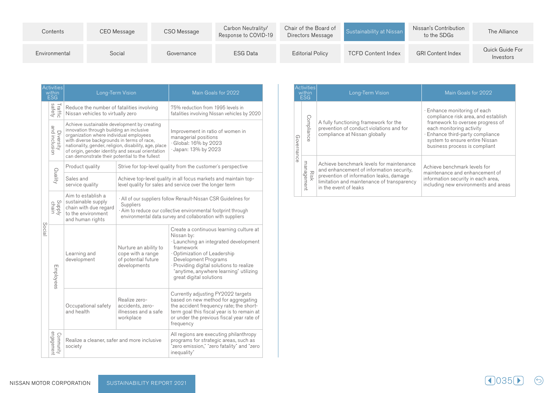| Contents      | CEO Message | CSO Message | Carbon Neutrality/<br>Response to COVID-19 | Chair of the Board of<br>Directors Message | Sustainability at Nissan  | Nissan's Contribution<br>to the SDGs | The Alliance                 |
|---------------|-------------|-------------|--------------------------------------------|--------------------------------------------|---------------------------|--------------------------------------|------------------------------|
| Environmental | Social      | Governance  | <b>ESG Data</b>                            | <b>Editorial Policy</b>                    | <b>TCFD Content Index</b> | <b>GRI Content Index</b>             | Quick Guide For<br>Investors |

| <b>Activities</b><br>within<br>FSG |                            | Long-Term Vision                                                                                                                                                                                                                                                                                                                                 |                                                                                                                                                                                                            | Main Goals for 2022                                                                                                                                                                                                                                                                |  |  |
|------------------------------------|----------------------------|--------------------------------------------------------------------------------------------------------------------------------------------------------------------------------------------------------------------------------------------------------------------------------------------------------------------------------------------------|------------------------------------------------------------------------------------------------------------------------------------------------------------------------------------------------------------|------------------------------------------------------------------------------------------------------------------------------------------------------------------------------------------------------------------------------------------------------------------------------------|--|--|
| Social                             | Traffic<br>safety          | Reduce the number of fatalities involving<br>Nissan vehicles to virtually zero                                                                                                                                                                                                                                                                   |                                                                                                                                                                                                            | 75% reduction from 1995 levels in<br>fatalities involving Nissan vehicles by 2020                                                                                                                                                                                                  |  |  |
|                                    | and inclusion<br>Diversity | Achieve sustainable development by creating<br>innovation through building an inclusive<br>organization where individual employees<br>with diverse backgrounds in terms of race,<br>nationality, gender, religion, disability, age, place<br>of origin, gender identity and sexual orientation<br>can demonstrate their potential to the fullest |                                                                                                                                                                                                            | Improvement in ratio of women in<br>managerial positions<br>· Global: 16% by 2023<br>· Japan: 13% by 2023                                                                                                                                                                          |  |  |
|                                    | Quality                    | Product quality                                                                                                                                                                                                                                                                                                                                  | Strive for top-level quality from the customer's perspective                                                                                                                                               |                                                                                                                                                                                                                                                                                    |  |  |
|                                    |                            | Sales and<br>service quality                                                                                                                                                                                                                                                                                                                     | Achieve top-level quality in all focus markets and maintain top-<br>level quality for sales and service over the longer term                                                                               |                                                                                                                                                                                                                                                                                    |  |  |
|                                    | Supply                     | Aim to establish a<br>sustainable supply<br>chain with due regard<br>to the environment<br>and human rights                                                                                                                                                                                                                                      | · All of our suppliers follow Renault-Nissan CSR Guidelines for<br>Suppliers<br>Aim to reduce our collective environmental footprint through<br>environmental data survey and collaboration with suppliers |                                                                                                                                                                                                                                                                                    |  |  |
|                                    | Employees                  | Learning and<br>development                                                                                                                                                                                                                                                                                                                      | Nurture an ability to<br>cope with a range<br>of potential future<br>developments                                                                                                                          | Create a continuous learning culture at<br>Nissan by:<br>· Launching an integrated development<br>framework<br>Optimization of Leadership<br>Development Programs<br>· Providing digital solutions to realize<br>"anytime, anywhere learning" utilizing<br>great digital solutions |  |  |
|                                    |                            | Occupational safety<br>and health                                                                                                                                                                                                                                                                                                                | Realize zero-<br>accidents, zero-<br>illnesses and a safe<br>workplace                                                                                                                                     | Currently adjusting FY2022 targets<br>based on new method for aggregating<br>the accident frequency rate; the short-<br>term goal this fiscal year is to remain at<br>or under the previous fiscal year rate of<br>frequency                                                       |  |  |
|                                    | engagement<br>Community    | Realize a cleaner, safer and more inclusive<br>society                                                                                                                                                                                                                                                                                           |                                                                                                                                                                                                            | All regions are executing philanthropy<br>programs for strategic areas, such as<br>"zero emission," "zero fatality" and "zero<br>inequality"                                                                                                                                       |  |  |

| <b>Activities</b><br>within<br><b>ESG</b> |                    | Long-Term Vision                                                                                                                                                                                       | Main Goals for 2022                                                                                                                                                                                                                        |  |  |
|-------------------------------------------|--------------------|--------------------------------------------------------------------------------------------------------------------------------------------------------------------------------------------------------|--------------------------------------------------------------------------------------------------------------------------------------------------------------------------------------------------------------------------------------------|--|--|
| Governanc                                 | Compliance         | A fully functioning framework for the<br>prevention of conduct violations and for<br>compliance at Nissan globally                                                                                     | · Enhance monitoring of each<br>compliance risk area, and establish<br>framework to oversee progress of<br>each monitoring activity<br>· Enhance third-party compliance<br>system to ensure entire Nissan<br>business process is compliant |  |  |
|                                           | management<br>Risk | Achieve benchmark levels for maintenance<br>and enhancement of information security,<br>prevention of information leaks, damage<br>limitation and maintenance of transparency<br>in the event of leaks | Achieve benchmark levels for<br>maintenance and enhancement of<br>information security in each area,<br>including new environments and areas                                                                                               |  |  |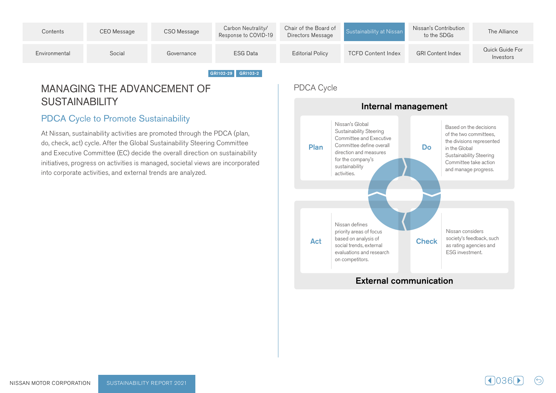

# MANAGING THE ADVANCEMENT OF SUSTAINABILITY

# PDCA Cycle to Promote Sustainability

At Nissan, sustainability activities are promoted through the PDCA (plan, do, check, act) cycle. After the Global Sustainability Steering Committee and Executive Committee (EC) decide the overall direction on sustainability initiatives, progress on activities is managed, societal views are incorporated into corporate activities, and external trends are analyzed.

# PDCA Cycle